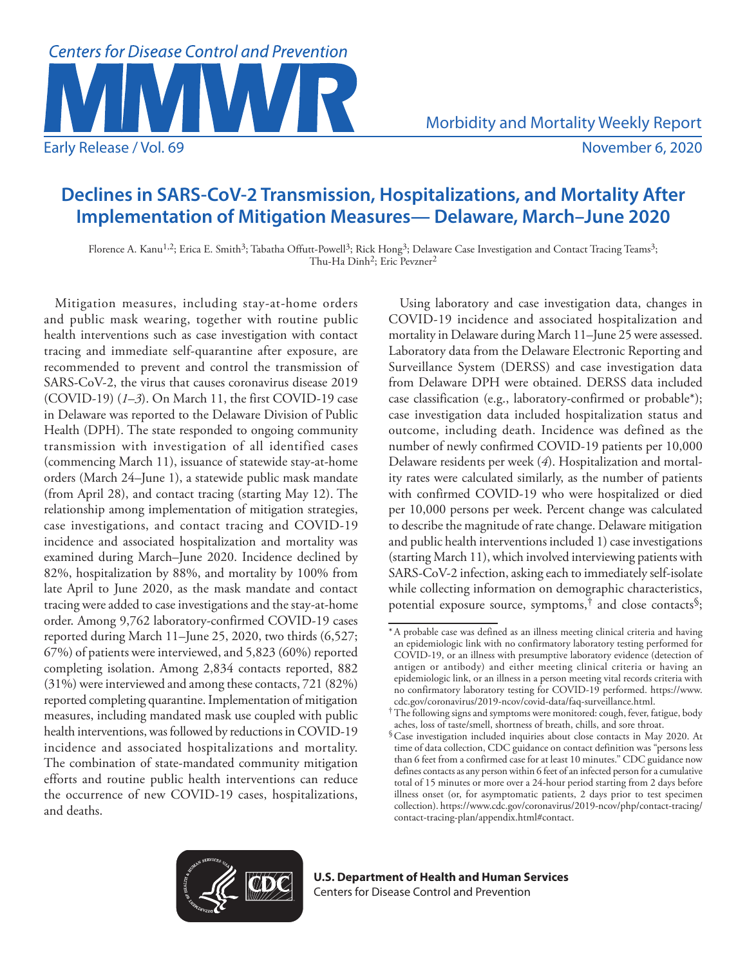

# **Declines in SARS-CoV-2 Transmission, Hospitalizations, and Mortality After Implementation of Mitigation Measures— Delaware, March–June 2020**

Florence A. Kanu<sup>1,2</sup>; Erica E. Smith<sup>3</sup>; Tabatha Offutt-Powell<sup>3</sup>; Rick Hong<sup>3</sup>; Delaware Case Investigation and Contact Tracing Teams<sup>3</sup>; Thu-Ha Dinh<sup>2</sup>; Eric Pevzner<sup>2</sup>

Mitigation measures, including stay-at-home orders and public mask wearing, together with routine public health interventions such as case investigation with contact tracing and immediate self-quarantine after exposure, are recommended to prevent and control the transmission of SARS-CoV-2, the virus that causes coronavirus disease 2019 (COVID-19) (*1*–*3*). On March 11, the first COVID-19 case in Delaware was reported to the Delaware Division of Public Health (DPH). The state responded to ongoing community transmission with investigation of all identified cases (commencing March 11), issuance of statewide stay-at-home orders (March 24–June 1), a statewide public mask mandate (from April 28), and contact tracing (starting May 12). The relationship among implementation of mitigation strategies, case investigations, and contact tracing and COVID-19 incidence and associated hospitalization and mortality was examined during March–June 2020. Incidence declined by 82%, hospitalization by 88%, and mortality by 100% from late April to June 2020, as the mask mandate and contact tracing were added to case investigations and the stay-at-home order. Among 9,762 laboratory-confirmed COVID-19 cases reported during March 11–June 25, 2020, two thirds (6,527; 67%) of patients were interviewed, and 5,823 (60%) reported completing isolation. Among 2,834 contacts reported, 882 (31%) were interviewed and among these contacts, 721 (82%) reported completing quarantine. Implementation of mitigation measures, including mandated mask use coupled with public health interventions, was followed by reductions in COVID-19 incidence and associated hospitalizations and mortality. The combination of state-mandated community mitigation efforts and routine public health interventions can reduce the occurrence of new COVID-19 cases, hospitalizations, and deaths.

Using laboratory and case investigation data, changes in COVID-19 incidence and associated hospitalization and mortality in Delaware during March 11–June 25 were assessed. Laboratory data from the Delaware Electronic Reporting and Surveillance System (DERSS) and case investigation data from Delaware DPH were obtained. DERSS data included case classification (e.g., laboratory-confirmed or probable\*); case investigation data included hospitalization status and outcome, including death. Incidence was defined as the number of newly confirmed COVID-19 patients per 10,000 Delaware residents per week (*4*). Hospitalization and mortality rates were calculated similarly, as the number of patients with confirmed COVID-19 who were hospitalized or died per 10,000 persons per week. Percent change was calculated to describe the magnitude of rate change. Delaware mitigation and public health interventions included 1) case investigations (starting March 11), which involved interviewing patients with SARS-CoV-2 infection, asking each to immediately self-isolate while collecting information on demographic characteristics, potential exposure source, symptoms,<sup>†</sup> and close contacts<sup>§</sup>;



<sup>\*</sup>A probable case was defined as an illness meeting clinical criteria and having an epidemiologic link with no confirmatory laboratory testing performed for COVID-19, or an illness with presumptive laboratory evidence (detection of antigen or antibody) and either meeting clinical criteria or having an epidemiologic link, or an illness in a person meeting vital records criteria with no confirmatory laboratory testing for COVID-19 performed. [https://www.](https://www.cdc.gov/coronavirus/2019-ncov/covid-data/faq-surveillance.html)

<sup>&</sup>lt;sup>†</sup>The following signs and symptoms were monitored: cough, fever, fatigue, body aches, loss of taste/smell, shortness of breath, chills, and sore throat.

<sup>§</sup>Case investigation included inquiries about close contacts in May 2020. At time of data collection, CDC guidance on contact definition was "persons less than 6 feet from a confirmed case for at least 10 minutes." CDC guidance now defines contacts as any person within 6 feet of an infected person for a cumulative total of 15 minutes or more over a 24-hour period starting from 2 days before illness onset (or, for asymptomatic patients, 2 days prior to test specimen collection). [https://www.cdc.gov/coronavirus/2019-ncov/php/contact-tracing/](https://www.cdc.gov/coronavirus/2019-ncov/php/contact-tracing/contact-tracing-plan/appendix.html%23contact) [contact-tracing-plan/appendix.html#contact.](https://www.cdc.gov/coronavirus/2019-ncov/php/contact-tracing/contact-tracing-plan/appendix.html%23contact)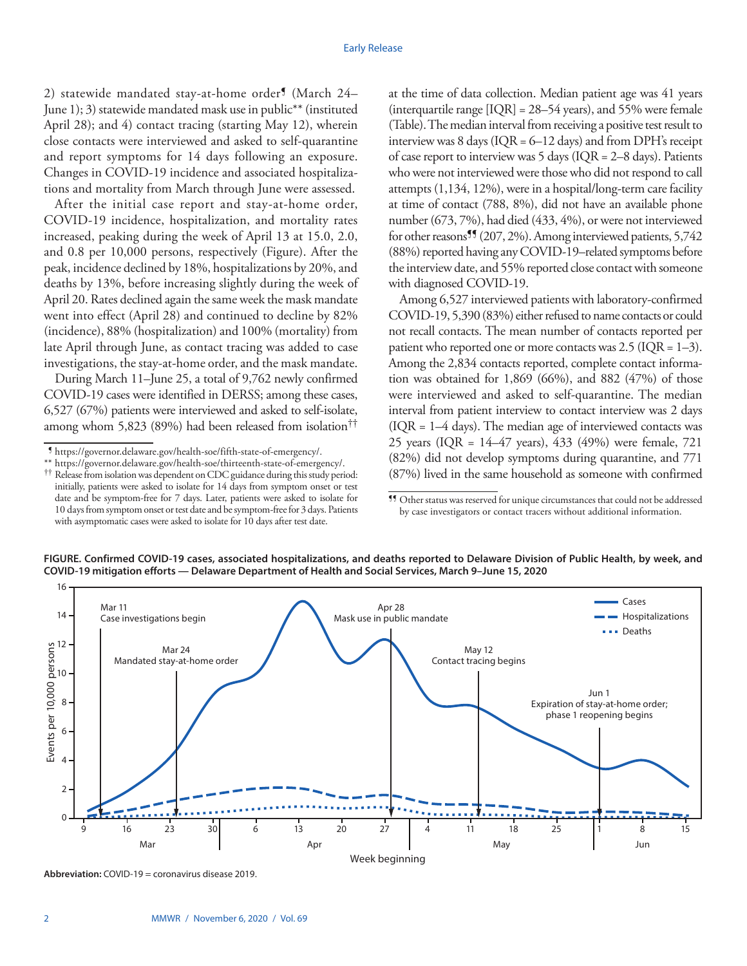2) statewide mandated stay-at-home order<sup>9</sup> (March 24– June 1); 3) statewide mandated mask use in public\*\* (instituted April 28); and 4) contact tracing (starting May 12), wherein close contacts were interviewed and asked to self-quarantine and report symptoms for 14 days following an exposure. Changes in COVID-19 incidence and associated hospitalizations and mortality from March through June were assessed.

After the initial case report and stay-at-home order, COVID-19 incidence, hospitalization, and mortality rates increased, peaking during the week of April 13 at 15.0, 2.0, and 0.8 per 10,000 persons, respectively (Figure). After the peak, incidence declined by 18%, hospitalizations by 20%, and deaths by 13%, before increasing slightly during the week of April 20. Rates declined again the same week the mask mandate went into effect (April 28) and continued to decline by 82% (incidence), 88% (hospitalization) and 100% (mortality) from late April through June, as contact tracing was added to case investigations, the stay-at-home order, and the mask mandate.

During March 11–June 25, a total of 9,762 newly confirmed COVID-19 cases were identified in DERSS; among these cases, 6,527 (67%) patients were interviewed and asked to self-isolate, among whom 5,823 (89%) had been released from isolation††

with asymptomatic cases were asked to isolate for 10 days after test date.

at the time of data collection. Median patient age was 41 years (interquartile range  $[IQR] = 28-54$  years), and 55% were female (Table). The median interval from receiving a positive test result to interview was 8 days ( $IQR = 6-12$  days) and from DPH's receipt of case report to interview was  $5$  days (IQR = 2–8 days). Patients who were not interviewed were those who did not respond to call attempts (1,134, 12%), were in a hospital/long-term care facility at time of contact (788, 8%), did not have an available phone number (673, 7%), had died (433, 4%), or were not interviewed for other reasons<sup>99</sup> (207, 2%). Among interviewed patients, 5,742 (88%) reported having any COVID-19–related symptoms before the interview date, and 55% reported close contact with someone with diagnosed COVID-19.

Among 6,527 interviewed patients with laboratory-confirmed COVID-19, 5,390 (83%) either refused to name contacts or could not recall contacts. The mean number of contacts reported per patient who reported one or more contacts was  $2.5$  (IQR = 1–3). Among the 2,834 contacts reported, complete contact information was obtained for  $1,869$  (66%), and 882 (47%) of those were interviewed and asked to self-quarantine. The median interval from patient interview to contact interview was 2 days  $(IQR = 1-4 \text{ days})$ . The median age of interviewed contacts was 25 years (IQR = 14–47 years), 433 (49%) were female, 721 (82%) did not develop symptoms during quarantine, and 771 (87%) lived in the same household as someone with confirmed



**FIGURE. Confirmed COVID-19 cases, associated hospitalizations, and deaths reported to Delaware Division of Public Health, by week, and COVID-19 mitigation efforts — Delaware Department of Health and Social Services, March 9–June 15, 2020**

**Abbreviation:** COVID-19 = coronavirus disease 2019.

<sup>¶</sup> <https://governor.delaware.gov/health-soe/fifth-state-of-emergency/>.

 $^{\dagger\dagger}$  Release from isolation was dependent on CDC guidance during this study period: initially, patients were asked to isolate for 14 days from symptom onset or test date and be symptom-free for 7 days. Later, patients were asked to isolate for 10 days from symptom onset or test date and be symptom-free for 3 days. Patients

<sup>¶¶</sup> Other status was reserved for unique circumstances that could not be addressed by case investigators or contact tracers without additional information.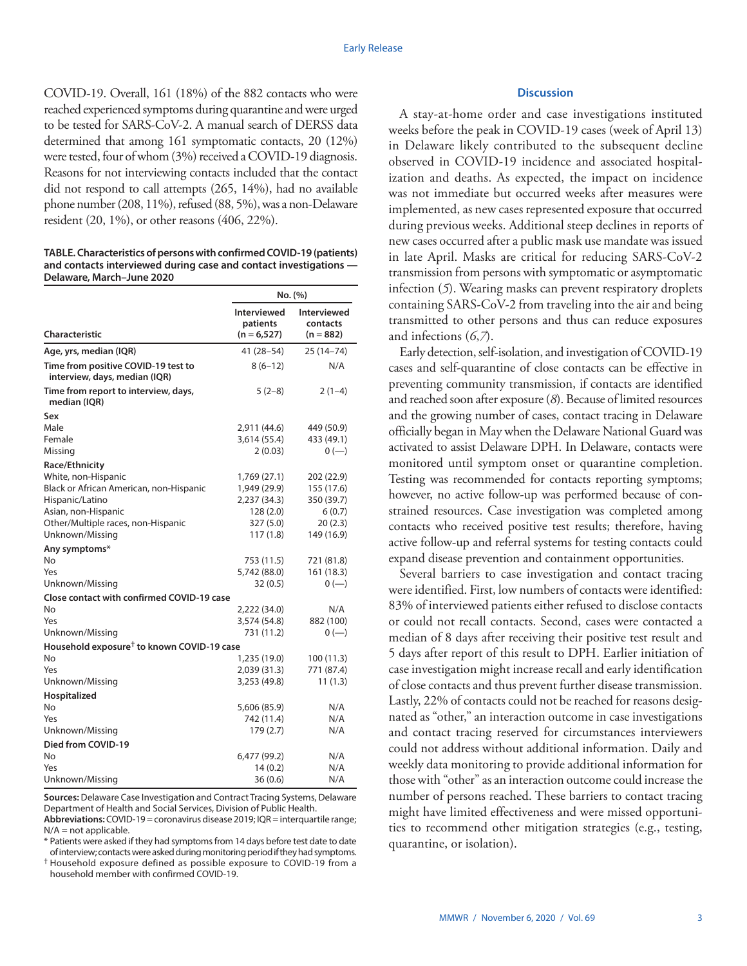COVID-19. Overall, 161 (18%) of the 882 contacts who were reached experienced symptoms during quarantine and were urged to be tested for SARS-CoV-2. A manual search of DERSS data determined that among 161 symptomatic contacts, 20 (12%) were tested, four of whom (3%) received a COVID-19 diagnosis. Reasons for not interviewing contacts included that the contact did not respond to call attempts (265, 14%), had no available phone number (208, 11%), refused (88, 5%), was a non-Delaware resident (20, 1%), or other reasons (406, 22%).

**TABLE. Characteristics of persons with confirmed COVID-19 (patients) and contacts interviewed during case and contact investigations — Delaware, March–June 2020**

|                                                                      | No. (%)                                   |                                        |
|----------------------------------------------------------------------|-------------------------------------------|----------------------------------------|
| <b>Characteristic</b>                                                | Interviewed<br>patients<br>$(n = 6, 527)$ | Interviewed<br>contacts<br>$(n = 882)$ |
| Age, yrs, median (IQR)                                               | 41 (28–54)                                | 25 (14–74)                             |
| Time from positive COVID-19 test to<br>interview, days, median (IQR) | $8(6-12)$                                 | N/A                                    |
| Time from report to interview, days,<br>median (IQR)                 | $5(2-8)$                                  | $2(1-4)$                               |
| Sex                                                                  |                                           |                                        |
| Male                                                                 | 2,911 (44.6)                              | 449 (50.9)                             |
| Female                                                               | 3,614 (55.4)                              | 433 (49.1)                             |
| Missing                                                              | 2(0.03)                                   | $0 (-)$                                |
| Race/Ethnicity                                                       |                                           |                                        |
| White, non-Hispanic                                                  | 1,769 (27.1)                              | 202 (22.9)                             |
| Black or African American, non-Hispanic                              | 1,949 (29.9)                              | 155 (17.6)                             |
| Hispanic/Latino                                                      | 2,237 (34.3)                              | 350 (39.7)                             |
| Asian, non-Hispanic                                                  | 128(2.0)                                  | 6(0.7)                                 |
| Other/Multiple races, non-Hispanic                                   | 327 (5.0)                                 | 20(2.3)                                |
| Unknown/Missing                                                      | 117(1.8)                                  | 149 (16.9)                             |
| Any symptoms*                                                        |                                           |                                        |
| No                                                                   | 753 (11.5)                                | 721 (81.8)                             |
| Yes                                                                  | 5,742 (88.0)                              | 161 (18.3)                             |
| Unknown/Missing                                                      | 32 (0.5)                                  | $0 (-)$                                |
| <b>Close contact with confirmed COVID-19 case</b>                    |                                           |                                        |
| No                                                                   | 2,222 (34.0)                              | N/A                                    |
| Yes                                                                  | 3,574 (54.8)                              | 882 (100)                              |
| Unknown/Missing                                                      | 731 (11.2)                                | $0 (-)$                                |
| Household exposure <sup>†</sup> to known COVID-19 case               |                                           |                                        |
| No                                                                   | 1,235 (19.0)                              | 100 (11.3)                             |
| Yes                                                                  | 2,039 (31.3)                              | 771 (87.4)                             |
| Unknown/Missing                                                      | 3,253 (49.8)                              | 11(1.3)                                |
| Hospitalized                                                         |                                           |                                        |
| No                                                                   | 5,606 (85.9)                              | N/A                                    |
| Yes                                                                  | 742 (11.4)                                | N/A                                    |
| Unknown/Missing                                                      | 179 (2.7)                                 | N/A                                    |
| Died from COVID-19                                                   |                                           |                                        |
| No                                                                   | 6,477 (99.2)                              | N/A                                    |
| Yes                                                                  | 14(0.2)                                   | N/A                                    |
| Unknown/Missing                                                      | 36 (0.6)                                  | N/A                                    |

**Sources:** Delaware Case Investigation and Contract Tracing Systems, Delaware Department of Health and Social Services, Division of Public Health.

**Abbreviations:** COVID-19 = coronavirus disease 2019; IQR = interquartile range; N/A = not applicable.

\* Patients were asked if they had symptoms from 14 days before test date to date of interview; contacts were asked during monitoring period if they had symptoms.

† Household exposure defined as possible exposure to COVID-19 from a household member with confirmed COVID-19.

## **Discussion**

A stay-at-home order and case investigations instituted weeks before the peak in COVID-19 cases (week of April 13) in Delaware likely contributed to the subsequent decline observed in COVID-19 incidence and associated hospitalization and deaths. As expected, the impact on incidence was not immediate but occurred weeks after measures were implemented, as new cases represented exposure that occurred during previous weeks. Additional steep declines in reports of new cases occurred after a public mask use mandate was issued in late April. Masks are critical for reducing SARS-CoV-2 transmission from persons with symptomatic or asymptomatic infection (*5*). Wearing masks can prevent respiratory droplets containing SARS-CoV-2 from traveling into the air and being transmitted to other persons and thus can reduce exposures and infections (*6*,*7*).

Early detection, self-isolation, and investigation of COVID-19 cases and self-quarantine of close contacts can be effective in preventing community transmission, if contacts are identified and reached soon after exposure (*8*). Because of limited resources and the growing number of cases, contact tracing in Delaware officially began in May when the Delaware National Guard was activated to assist Delaware DPH. In Delaware, contacts were monitored until symptom onset or quarantine completion. Testing was recommended for contacts reporting symptoms; however, no active follow-up was performed because of constrained resources. Case investigation was completed among contacts who received positive test results; therefore, having active follow-up and referral systems for testing contacts could expand disease prevention and containment opportunities.

Several barriers to case investigation and contact tracing were identified. First, low numbers of contacts were identified: 83% of interviewed patients either refused to disclose contacts or could not recall contacts. Second, cases were contacted a median of 8 days after receiving their positive test result and 5 days after report of this result to DPH. Earlier initiation of case investigation might increase recall and early identification of close contacts and thus prevent further disease transmission. Lastly, 22% of contacts could not be reached for reasons designated as "other," an interaction outcome in case investigations and contact tracing reserved for circumstances interviewers could not address without additional information. Daily and weekly data monitoring to provide additional information for those with "other" as an interaction outcome could increase the number of persons reached. These barriers to contact tracing might have limited effectiveness and were missed opportunities to recommend other mitigation strategies (e.g., testing, quarantine, or isolation).